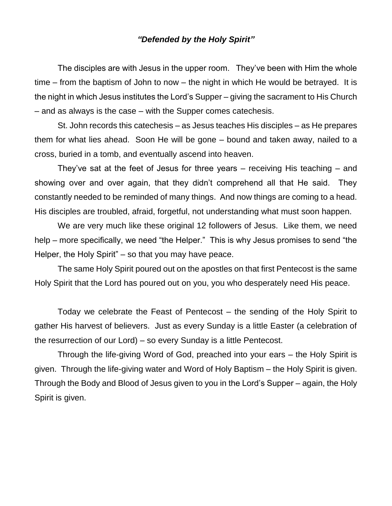## *"Defended by the Holy Spirit"*

The disciples are with Jesus in the upper room. They've been with Him the whole time – from the baptism of John to now – the night in which He would be betrayed. It is the night in which Jesus institutes the Lord's Supper – giving the sacrament to His Church – and as always is the case – with the Supper comes catechesis.

St. John records this catechesis – as Jesus teaches His disciples – as He prepares them for what lies ahead. Soon He will be gone – bound and taken away, nailed to a cross, buried in a tomb, and eventually ascend into heaven.

They've sat at the feet of Jesus for three years – receiving His teaching – and showing over and over again, that they didn't comprehend all that He said. They constantly needed to be reminded of many things. And now things are coming to a head. His disciples are troubled, afraid, forgetful, not understanding what must soon happen.

We are very much like these original 12 followers of Jesus. Like them, we need help – more specifically, we need "the Helper." This is why Jesus promises to send "the Helper, the Holy Spirit" – so that you may have peace.

The same Holy Spirit poured out on the apostles on that first Pentecost is the same Holy Spirit that the Lord has poured out on you, you who desperately need His peace.

Today we celebrate the Feast of Pentecost – the sending of the Holy Spirit to gather His harvest of believers. Just as every Sunday is a little Easter (a celebration of the resurrection of our Lord) – so every Sunday is a little Pentecost.

Through the life-giving Word of God, preached into your ears – the Holy Spirit is given. Through the life-giving water and Word of Holy Baptism – the Holy Spirit is given. Through the Body and Blood of Jesus given to you in the Lord's Supper – again, the Holy Spirit is given.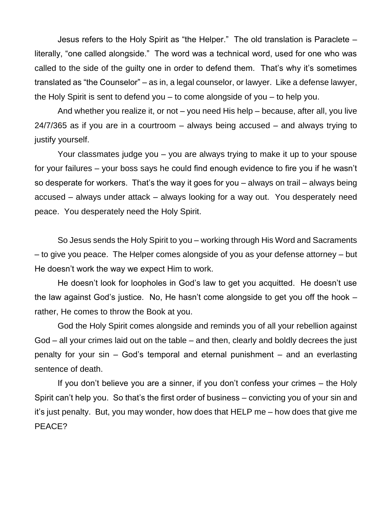Jesus refers to the Holy Spirit as "the Helper." The old translation is Paraclete – literally, "one called alongside." The word was a technical word, used for one who was called to the side of the guilty one in order to defend them. That's why it's sometimes translated as "the Counselor" – as in, a legal counselor, or lawyer. Like a defense lawyer, the Holy Spirit is sent to defend you – to come alongside of you – to help you.

And whether you realize it, or not – you need His help – because, after all, you live 24/7/365 as if you are in a courtroom – always being accused – and always trying to justify yourself.

Your classmates judge you – you are always trying to make it up to your spouse for your failures – your boss says he could find enough evidence to fire you if he wasn't so desperate for workers. That's the way it goes for you – always on trail – always being accused – always under attack – always looking for a way out. You desperately need peace. You desperately need the Holy Spirit.

So Jesus sends the Holy Spirit to you – working through His Word and Sacraments – to give you peace. The Helper comes alongside of you as your defense attorney – but He doesn't work the way we expect Him to work.

He doesn't look for loopholes in God's law to get you acquitted. He doesn't use the law against God's justice. No, He hasn't come alongside to get you off the hook – rather, He comes to throw the Book at you.

God the Holy Spirit comes alongside and reminds you of all your rebellion against God – all your crimes laid out on the table – and then, clearly and boldly decrees the just penalty for your sin – God's temporal and eternal punishment – and an everlasting sentence of death.

If you don't believe you are a sinner, if you don't confess your crimes – the Holy Spirit can't help you. So that's the first order of business – convicting you of your sin and it's just penalty. But, you may wonder, how does that HELP me – how does that give me PEACE?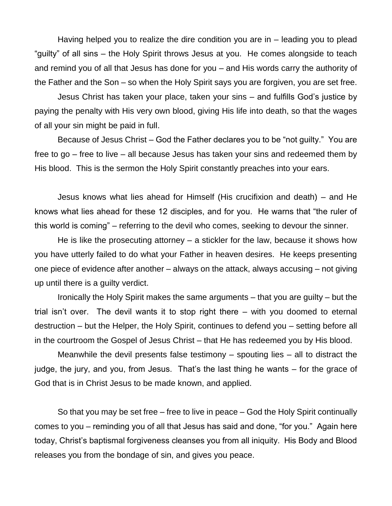Having helped you to realize the dire condition you are in – leading you to plead "guilty" of all sins – the Holy Spirit throws Jesus at you. He comes alongside to teach and remind you of all that Jesus has done for you – and His words carry the authority of the Father and the Son – so when the Holy Spirit says you are forgiven, you are set free.

Jesus Christ has taken your place, taken your sins – and fulfills God's justice by paying the penalty with His very own blood, giving His life into death, so that the wages of all your sin might be paid in full.

Because of Jesus Christ – God the Father declares you to be "not guilty." You are free to go – free to live – all because Jesus has taken your sins and redeemed them by His blood. This is the sermon the Holy Spirit constantly preaches into your ears.

Jesus knows what lies ahead for Himself (His crucifixion and death) – and He knows what lies ahead for these 12 disciples, and for you. He warns that "the ruler of this world is coming" – referring to the devil who comes, seeking to devour the sinner.

He is like the prosecuting attorney – a stickler for the law, because it shows how you have utterly failed to do what your Father in heaven desires. He keeps presenting one piece of evidence after another – always on the attack, always accusing – not giving up until there is a guilty verdict.

Ironically the Holy Spirit makes the same arguments – that you are guilty – but the trial isn't over. The devil wants it to stop right there – with you doomed to eternal destruction – but the Helper, the Holy Spirit, continues to defend you – setting before all in the courtroom the Gospel of Jesus Christ – that He has redeemed you by His blood.

Meanwhile the devil presents false testimony – spouting lies – all to distract the judge, the jury, and you, from Jesus. That's the last thing he wants – for the grace of God that is in Christ Jesus to be made known, and applied.

So that you may be set free – free to live in peace – God the Holy Spirit continually comes to you – reminding you of all that Jesus has said and done, "for you." Again here today, Christ's baptismal forgiveness cleanses you from all iniquity. His Body and Blood releases you from the bondage of sin, and gives you peace.